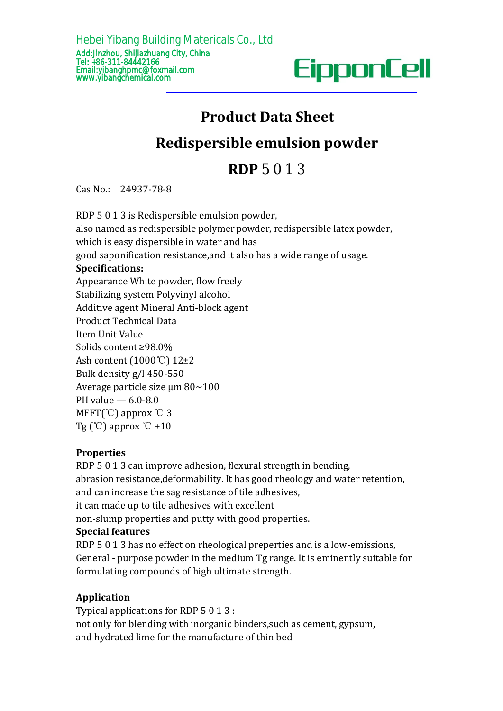

# **Product Data Sheet**

## **Redispersible emulsion powder**

Cas No.: 24937-78-8

**Specifications:** Appearance White powder, flow freely Stabilizing system Polyvinyl alcohol Additive agent Mineral Anti-block agent Product Technical Data Item Unit Value Solids content ≥98.0% Ash content (1000℃) 12±2 Bulk density g/l450-550 Average particle size μm 80~100 PH value — 6.0-8.0 MFFT(℃) approx ℃ 3 Tg  $(\mathcal{C})$  approx  $\mathcal{C}$  +10 **Product Data Sheet<br>Redispersible emulsion powder<br>RDP 5 0 1 3<br>Cas No.: 24937-78-8<br>RDP 5 0 1 3 is Redispersible emulsion powder,<br>also named as redispersible polymer powder, redispersible latex pow<br>which is easy dispersible Example 12 and Sheet**<br> **RDP** 5 0 1 3<br>
Cas No.: 24937-78-8<br>
RDP 5 0 1 3 is Redispersible emulsion powder,<br>
also named as redispersible polymer powder, redispersible latex powder,<br>
also named as redispersible in water and h **Redispersible emulsion powder**<br> **RDP** 5 0 1 3<br>
Cas No.: 24937-78-8<br>
RDP 5 0 1 3 is Redispersible emulsion powder,<br>
also named as redispersible polymer powder, redispersible latex pow<br>
which is easy dispersible in water an **RDP** 5 0 1 3<br>**RDP** 5 0 1 3<br>**RDP** 5 0 1 3 is Redispersible emulsion powder,<br>RDP 5 0 1 3 is Redispersible emulsion powder,<br>also named as redispersible polymer powder, redispersible latex powder,<br>which is easy dispersible in Ash content (1000°C) 12±2<br>
Bulk density g/l 450-550<br>
Average particle size  $\mu$ m 80~100<br>
PH value  $-$  6.0-8.0<br>
MFFT(°C) approx °C 3<br>
Tg (°C) approx °C +10<br> **Properties**<br>
RDP 5 0 1 3 can improve adhesion, flexural strength Bulk density g/l 450-550<br>
Average particle size  $\mu$ m 80~100<br>
MFFT(°C) approx °C 3<br>
Tg (°C) approx °C +10<br> **Properties**<br>
RDP 5 0 1 3 can improve adhesion, flexural strength in bending,<br>
abrasion resistance,deformability.

### **Properties**

Average particle size  $\mu$ m 80~100<br>
PH value  $-$  6.0-8.0<br>
MFFT(°C) approx °C 3<br>
Tg (°C) approx °C +10<br> **Properties**<br>
RDP 5 0 1 3 can improve adhesion, flexural strength in bending,<br>
abrasion resistance,<br>
deformability. It PH value — 6.0-8.0<br>
MFFT(°C) approx °C +10<br> **Properties**<br>
RDP 5 0 1 3 can improve adhesion, flexural strength in bending,<br>
abrasion resistance,deformability. It has good rheology and water re<br>
and can increase the sagressi MFFT(°C) approx °C 3<br>
Tg (°C) approx °C +10<br> **Properties**<br>
RDP 5 0 1 3 can improve adhesion, flexural strength in bending,<br>
abrasion resistance,<br>deformability. It has good rheology and water retentic<br>
and can increase the Average particle size  $\mu$ m 80~100<br>
PH value  $- 6.0$ -8.0<br>
MFFT(°C) approx °C 3<br>
Tg (°C) approx °C +10<br> **Properties**<br>
RDP 5 0 1 3 can improve adhesion, flex<br>
abrasion resistance, deformability. It has<br>
and can increase the **Properties**<br>RDP 5 0 1 3 can improve adhesion, flexural strength in bending,<br>abrasion resistance,deformability. It has good rheology and water retention,<br>and can increase the sagresistance of tile adhesives,<br>the can made u **Properties**<br>RDP 5 0 1 3 can improve adhesion, flexural strength in bending,<br>abrasion resistance,deformability. It has good rheology and water retention,<br>and can increase the sag resistance of tile adhesives,<br>it can made u RDP 5 0 1 3 can improve adhesion, flexural strength in bending,<br>abrasion resistance, deformability. It has good rheology and water reten<br>and can increase the sagresistance of tile adhesives,<br>it can made up to tile adhesive

it can made up to tile adhesives with excellent<br>non-slump properties and putty with good properties.<br>**Special features**<br>RDP 5 0 1 3 has no effect on rheological preperties and is a low-emi<br>General - purpose powder in the m non-slump properties and putty with good properties.<br>**Special features**<br>RDP 5 0 1 3 has no effect on rheological preperties and is a low-emissions,<br>General - purpose powder in the medium Tg range. It is eminently suitable **Special features**<br>RDP 5 0 1 3 has no effect on rheological preperties and is a low-emissions,<br>General - purpose powder in the medium Tg range. It is eminently suitable foi<br>formulating compounds of high ultimate strength.<br>

### **Application**